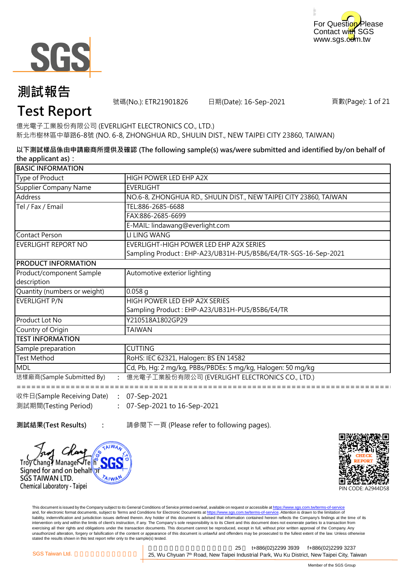



號碼(No.): ETR21901826 日期(Date): 16-Sep-2021

頁數(Page): 1 of 21

### **Test Report**

億光電子工業股份有限公司 (EVERLIGHT ELECTRONICS CO., LTD.) 新北市樹林區中華路6-8號 (NO. 6-8, ZHONGHUA RD., SHULIN DIST., NEW TAIPEI CITY 23860, TAIWAN)

**以下測試樣品係由申請廠商所提供及確認 (The following sample(s) was/were submitted and identified by/on behalf of the applicant as):**

| <b>BASIC INFORMATION</b>                                        |                                                                   |  |
|-----------------------------------------------------------------|-------------------------------------------------------------------|--|
| Type of Product                                                 | HIGH POWER LED EHP A2X                                            |  |
| Supplier Company Name                                           | <b>EVERLIGHT</b>                                                  |  |
| Address                                                         | NO.6-8, ZHONGHUA RD., SHULIN DIST., NEW TAIPEI CITY 23860, TAIWAN |  |
| Tel / Fax / Email                                               | TEL:886-2685-6688                                                 |  |
|                                                                 | FAX:886-2685-6699                                                 |  |
|                                                                 | E-MAIL: lindawang@everlight.com                                   |  |
| Contact Person                                                  | LI LING WANG                                                      |  |
| EVERLIGHT REPORT NO                                             | EVERLIGHT-HIGH POWER LED EHP A2X SERIES                           |  |
|                                                                 | Sampling Product: EHP-A23/UB31H-PU5/B5B6/E4/TR-SGS-16-Sep-2021    |  |
| <b>PRODUCT INFORMATION</b>                                      |                                                                   |  |
| Product/component Sample                                        | Automotive exterior lighting                                      |  |
| description                                                     |                                                                   |  |
| Quantity (numbers or weight)                                    | $0.058$ q                                                         |  |
| EVERLIGHT P/N                                                   | HIGH POWER LED EHP A2X SERIES                                     |  |
|                                                                 | Sampling Product: EHP-A23/UB31H-PU5/B5B6/E4/TR                    |  |
| <b>Product Lot No</b>                                           | Y210518A1802GP29                                                  |  |
| Country of Origin                                               | <b>TAIWAN</b>                                                     |  |
| <b>ITEST INFORMATION</b>                                        |                                                                   |  |
| Sample preparation                                              | <b>CUTTING</b>                                                    |  |
| <b>Test Method</b>                                              | RoHS: IEC 62321, Halogen: BS EN 14582                             |  |
| <b>MDL</b>                                                      | Cd, Pb, Hg: 2 mg/kg, PBBs/PBDEs: 5 mg/kg, Halogen: 50 mg/kg       |  |
| 送樣廠商(Sample Submitted By)                                       | 億光電子工業股份有限公司 (EVERLIGHT ELECTRONICS CO., LTD.)                    |  |
| $\frac{1}{10}$ (Eq. (Sample Receiving Date) $\cdot$ 07-Sep-2021 |                                                                   |  |

**: :** 07-Sep-2021 to 16-Sep-2021 收件日(Sample Receiving Date) 測試期間(Testing Period) 07-Sep-2021

**測試結果(Test Results) :** 請參閱下一頁 (Please refer to following pages).





This document is issued by the Company subject to its General Conditions of Service printed overleaf, available on request or accessible at https://www.sgs.com.tw/terms-of-service and, for electronic format documents, subject to Terms and Conditions for Electronic Documents at https://www.sgs.com.tw/terms-of-service. Attention is drawn to the limitation of liability, indemnification and jurisdiction issues defined therein. Any holder of this document is advised that information contained hereon reflects the Company's findings at the time of its intervention only and within the limits of client's instruction, if any. The Company's sole responsibility is to its Client and this document does not exonerate parties to a transaction from exercising all their rights and obligations under the transaction documents. This document cannot be reproduced, except in full, without prior written approval of the Company. Any<br>unauthorized alteration, forgery or falsif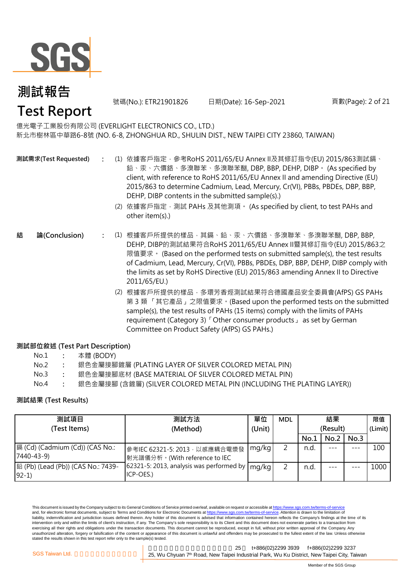

號碼(No.): ETR21901826 日期(Date): 16-Sep-2021 頁數(Page): 2 of 21

億光電子工業股份有限公司 (EVERLIGHT ELECTRONICS CO., LTD.) 新北市樹林區中華路6-8號 (NO. 6-8, ZHONGHUA RD., SHULIN DIST., NEW TAIPEI CITY 23860, TAIWAN)

**測試需求(Test Requested)**

- **:** (1) 依據客戶指定,參考RoHS 2011/65/EU Annex II及其修訂指令(EU) 2015/863測試鎘、 鉛、汞、六價鉻、多溴聯苯、多溴聯苯醚, DBP, BBP, DEHP, DIBP。 (As specified by client, with reference to RoHS 2011/65/EU Annex II and amending Directive (EU) 2015/863 to determine Cadmium, Lead, Mercury, Cr(VI), PBBs, PBDEs, DBP, BBP, DEHP, DIBP contents in the submitted sample(s).)
	- (2) 依據客戶指定,測試 PAHs 及其他測項。 (As specified by client, to test PAHs and other item(s).)
- **:** (1) 根據客戶所提供的樣品,其鎘、鉛、汞、六價鉻、多溴聯苯、多溴聯苯醚, DBP, BBP, **結 論(Conclusion)** DEHP, DIBP的測試結果符合RoHS 2011/65/EU Annex II暨其修訂指令(EU) 2015/863之 限值要求。 (Based on the performed tests on submitted sample(s), the test results of Cadmium, Lead, Mercury, Cr(VI), PBBs, PBDEs, DBP, BBP, DEHP, DIBP comply with the limits as set by RoHS Directive (EU) 2015/863 amending Annex II to Directive 2011/65/EU.)
	- (2) 根據客戶所提供的樣品,多環芳香烴測試結果符合德國產品安全委員會(AfPS) GS PAHs 第 3 類 「其它產品」之限值要求。(Based upon the performed tests on the submitted sample(s), the test results of PAHs (15 items) comply with the limits of PAHs requirement (Category 3)「Other consumer products」 as set by German Committee on Product Safety (AfPS) GS PAHs.)

#### **測試部位敘述 (Test Part Description)**

| No.1 | 本體 (BODY) |
|------|-----------|
|------|-----------|

- No.2 **:** 銀色金屬接腳鍍層 (PLATING LAYER OF SILVER COLORED METAL PIN)
- No.3 **:** 銀色金屬接腳底材 (BASE MATERIAL OF SILVER COLORED METAL PIN)
- No.4 **:** 銀色金屬接腳 (含鍍層) (SILVER COLORED METAL PIN (INCLUDING THE PLATING LAYER))

#### **測試結果 (Test Results)**

| 測試項目                                          | 測試方法                                                            | 單位     | <b>MDL</b> | 結果       |      |      | 限值      |
|-----------------------------------------------|-----------------------------------------------------------------|--------|------------|----------|------|------|---------|
| (Test Items)                                  | (Method)                                                        | (Unit) |            | (Result) |      |      | (Limit) |
|                                               |                                                                 |        |            | No.1     | No.2 | No.3 |         |
| 7440-43-9)                                    | 參考IEC 62321-5: 2013, 以感應耦合電漿發<br> 射光譜儀分析。(With reference to IEC | mg/kg  | 2          | n.d.     |      | ---  | 100     |
| 鉛 (Pb) (Lead (Pb)) (CAS No.: 7439-<br>$92-1)$ | 62321-5: 2013, analysis was performed by<br>ICP-OES.)           | mg/kg  | 2          | n.d.     |      |      | 1000    |

This document is issued by the Company subject to its General Conditions of Service printed overleaf, available on request or accessible at https://www.sgs.com.tw/terms-of-service and, for electronic format documents, subject to Terms and Conditions for Electronic Documents at https://www.sgs.com.tw/terms-of-service. Attention is drawn to the limitation of liability, indemnification and jurisdiction issues defined therein. Any holder of this document is advised that information contained hereon reflects the Company's findings at the time of its intervention only and within the limits of client's instruction, if any. The Company's sole responsibility is to its Client and this document does not exonerate parties to a transaction from exercising all their rights and obligations under the transaction documents. This document cannot be reproduced, except in full, without prior written approval of the Company. Any unauthorized alteration, forgery or falsification of the content or appearance of this document is unlawful and offenders may be prosecuted to the fullest extent of the law. Unless otherwise stated the results shown in this test report refer only to the sample(s) tested.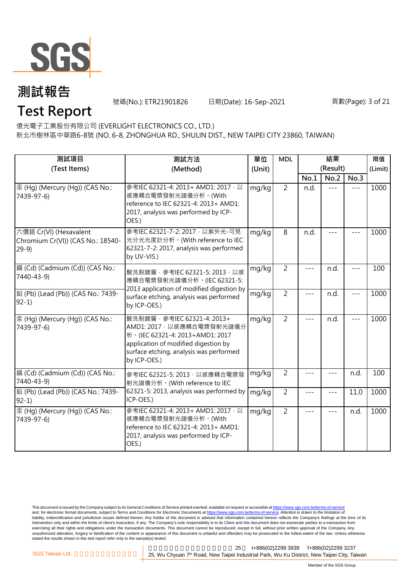

號碼(No.): ETR21901826 日期(Date): 16-Sep-2021 頁數(Page): 3 of 21

### **Test Report**

億光電子工業股份有限公司 (EVERLIGHT ELECTRONICS CO., LTD.)

新北市樹林區中華路6-8號 (NO. 6-8, ZHONGHUA RD., SHULIN DIST., NEW TAIPEI CITY 23860, TAIWAN)

| 測試項目<br>(Test Items)                                                  | 測試方法<br>(Method)                                                                                                                                                                                  | 單位<br>(Unit) | <b>MDL</b>     |       | 結果<br>(Result) |                   | 限值<br>(Limit) |
|-----------------------------------------------------------------------|---------------------------------------------------------------------------------------------------------------------------------------------------------------------------------------------------|--------------|----------------|-------|----------------|-------------------|---------------|
|                                                                       |                                                                                                                                                                                                   |              |                | No.1  | No.2           | No.3              |               |
| 汞 (Hg) (Mercury (Hg)) (CAS No.:<br>7439-97-6)                         | 參考IEC 62321-4: 2013+ AMD1: 2017 · 以<br>感應耦合電漿發射光譜儀分析。(With<br>reference to IEC 62321-4: 2013+ AMD1:<br>2017, analysis was performed by ICP-<br>OES.)                                              | mg/kg        | $\overline{2}$ | n.d.  | $- - -$        | $---$             | 1000          |
| 六價鉻 Cr(VI) (Hexavalent<br>Chromium Cr(VI)) (CAS No.: 18540-<br>$29-9$ | 參考IEC 62321-7-2: 2017 · 以紫外光-可見<br>光分光光度計分析。(With reference to IEC<br>62321-7-2: 2017, analysis was performed<br>by UV-VIS.)                                                                      | mg/kg        | 8              | n.d.  |                |                   | 1000          |
| 鎘 (Cd) (Cadmium (Cd)) (CAS No.:<br>7440-43-9)                         | 酸洗脫鍍層, 參考IEC 62321-5: 2013, 以感<br>應耦合電漿發射光譜儀分析。(IEC 62321-5:<br>2013 application of modified digestion by                                                                                         | mg/kg        | $\overline{2}$ |       | n.d.           |                   | 100           |
| 鉛 (Pb) (Lead (Pb)) (CAS No.: 7439-<br>$92-1)$                         | surface etching, analysis was performed<br>by ICP-OES.)                                                                                                                                           | mg/kg        | $\overline{2}$ | $---$ | n.d.           | $---$             | 1000          |
| 汞 (Hg) (Mercury (Hg)) (CAS No.:<br>7439-97-6)                         | 酸洗脫鍍層, 參考IEC 62321-4: 2013+<br>AMD1: 2017 · 以感應耦合電漿發射光譜儀分<br>桥 · (IEC 62321-4: 2013+AMD1: 2017<br>application of modified digestion by<br>surface etching, analysis was performed<br>by ICP-OES.) | mg/kg        | $\overline{2}$ | $---$ | n.d.           | $- - -$           | 1000          |
| 鎘 (Cd) (Cadmium (Cd)) (CAS No.:<br>7440-43-9)                         | 參考IEC 62321-5: 2013, 以感應耦合電漿發<br>射光譜儀分析。(With reference to IEC                                                                                                                                    | mg/kg        | $\overline{2}$ |       | $- - -$        | n.d.              | 100           |
| 鉛 (Pb) (Lead (Pb)) (CAS No.: 7439-<br>$92-1$                          | 62321-5: 2013, analysis was performed by<br>ICP-OES.)                                                                                                                                             | mg/kg        | $\overline{2}$ | ---   | $---$          | $\overline{1}1.0$ | 1000          |
| 汞 (Hg) (Mercury (Hg)) (CAS No.:<br>7439-97-6)                         | 參考IEC 62321-4: 2013+ AMD1: 2017 · 以<br>感應耦合電漿發射光譜儀分析。(With<br>reference to IEC 62321-4: 2013+ AMD1:<br>2017, analysis was performed by ICP-<br>OES.)                                              | mg/kg        | $\overline{2}$ | $---$ | $- - -$        | n.d.              | 1000          |

This document is issued by the Company subject to its General Conditions of Service printed overleaf, available on request or accessible at <u>https://www.sgs.com.tw/terms-of-service</u><br>and, for electronic format documents, su liability, indemnification and jurisdiction issues defined therein. Any holder of this document is advised that information contained hereon reflects the Company's findings at the time of its intervention only and within the limits of client's instruction, if any. The Company's sole responsibility is to its Client and this document does not exonerate parties to a transaction from exercising all their rights and obligations under the transaction documents. This document cannot be reproduced, except in full, without prior written approval of the Company. Any<br>unauthorized alteration, forgery or falsif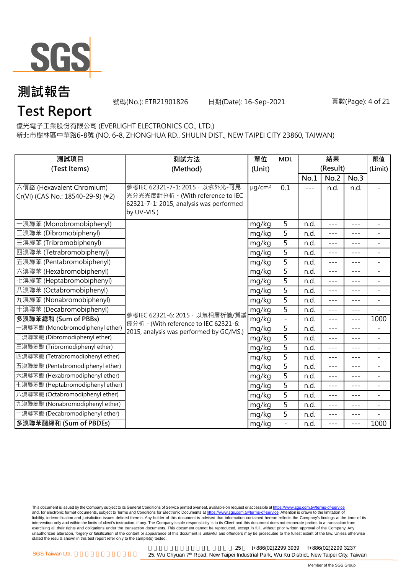

號碼(No.): ETR21901826 日期(Date): 16-Sep-2021 頁數(Page): 4 of 21

億光電子工業股份有限公司 (EVERLIGHT ELECTRONICS CO., LTD.) **Test Report**

新北市樹林區中華路6-8號 (NO. 6-8, ZHONGHUA RD., SHULIN DIST., NEW TAIPEI CITY 23860, TAIWAN)

|                                                                |                                                                       |                         |                |       | 結果       |         |                          |
|----------------------------------------------------------------|-----------------------------------------------------------------------|-------------------------|----------------|-------|----------|---------|--------------------------|
| 測試項目                                                           | 測試方法                                                                  | 單位                      | <b>MDL</b>     |       |          |         | 限值                       |
| (Test Items)                                                   | (Method)                                                              | (Unit)                  |                |       | (Result) |         | (Limit)                  |
|                                                                | 參考IEC 62321-7-1: 2015 · 以紫外光-可見                                       |                         |                | No.1  | No.2     | No.3    |                          |
| 六價鉻 (Hexavalent Chromium)<br>Cr(VI) (CAS No.: 18540-29-9) (#2) | 光分光光度計分析。(With reference to IEC                                       | $\mu$ g/cm <sup>2</sup> | 0.1            | $---$ | n.d.     | n.d.    | $\overline{\phantom{a}}$ |
|                                                                | 62321-7-1: 2015, analysis was performed                               |                         |                |       |          |         |                          |
|                                                                | by UV-VIS.)                                                           |                         |                |       |          |         |                          |
| ·溴聯苯 (Monobromobiphenyl)                                       |                                                                       | mg/kg                   | 5              | n.d.  | ---      | $---$   | $\overline{\phantom{a}}$ |
| 澳聯苯 (Dibromobiphenyl)                                          |                                                                       | mg/kg                   | 5              | n.d.  | $---$    | $---$   | $\overline{a}$           |
| 三溴聯苯 (Tribromobiphenyl)                                        |                                                                       | mg/kg                   | 5              | n.d.  | ---      | $- - -$ | $\overline{\phantom{a}}$ |
| 四溴聯苯 (Tetrabromobiphenyl)                                      |                                                                       | mg/kg                   | $\overline{5}$ | n.d.  | $- - -$  | $- - -$ |                          |
| 五溴聯苯 (Pentabromobiphenyl)                                      |                                                                       | mg/kg                   | 5              | n.d.  | $- - -$  | $---$   | $\overline{\phantom{a}}$ |
| 六溴聯苯 (Hexabromobiphenyl)                                       |                                                                       | mg/kg                   | 5              | n.d.  | ---      |         |                          |
| 七溴聯苯 (Heptabromobiphenyl)                                      |                                                                       | mg/kg                   | 5              | n.d.  | $---$    | $---$   | $\blacksquare$           |
| 八溴聯苯 (Octabromobiphenyl)                                       |                                                                       | mg/kg                   | 5              | n.d.  | $---$    | $---$   | $\overline{a}$           |
| 九溴聯苯 (Nonabromobiphenyl)                                       |                                                                       | mg/kg                   | 5              | n.d.  | ---      | $---$   | $\overline{\phantom{a}}$ |
| 十溴聯苯 (Decabromobiphenyl)                                       |                                                                       | mg/kg                   | 5              | n.d.  | ---      | $- - -$ |                          |
| 多溴聯苯總和 (Sum of PBBs)                                           | 參考IEC 62321-6: 2015, 以氣相層析儀/質譜<br>儀分析。(With reference to IEC 62321-6: | mg/kg                   | $\overline{a}$ | n.d.  | $- - -$  | $---$   | 1000                     |
| -溴聯苯醚 (Monobromodiphenyl ether)                                | 2015, analysis was performed by GC/MS.)                               | mg/kg                   | 5              | n.d.  | ---      | $---$   | $\overline{a}$           |
| 二溴聯苯醚 (Dibromodiphenyl ether)                                  |                                                                       | mg/kg                   | 5              | n.d.  | $---$    | $---$   | $\overline{\phantom{a}}$ |
| 三溴聯苯醚 (Tribromodiphenyl ether)                                 |                                                                       | mg/kg                   | 5              | n.d.  | $- - -$  | $- - -$ | $\overline{\phantom{a}}$ |
| 四溴聯苯醚 (Tetrabromodiphenyl ether)                               |                                                                       | mg/kg                   | 5              | n.d.  | $- - -$  | $- - -$ | $\overline{\phantom{a}}$ |
| 五溴聯苯醚 (Pentabromodiphenyl ether)                               |                                                                       | mg/kg                   | 5              | n.d.  | $---$    | $---$   | $\overline{\phantom{a}}$ |
| 六溴聯苯醚 (Hexabromodiphenyl ether)                                |                                                                       | mg/kg                   | 5              | n.d.  | ---      | $---$   |                          |
| 七溴聯苯醚 (Heptabromodiphenyl ether)                               |                                                                       | mg/kg                   | 5              | n.d.  | ---      | $---$   | $\blacksquare$           |
| 八溴聯苯醚 (Octabromodiphenyl ether)                                |                                                                       | mg/kg                   | $\overline{5}$ | n.d.  | ---      | $- - -$ | $\blacksquare$           |
| 九溴聯苯醚 (Nonabromodiphenyl ether)                                |                                                                       | mg/kg                   | 5              | n.d.  | $---$    | $---$   | $\blacksquare$           |
| 十溴聯苯醚 (Decabromodiphenyl ether)                                |                                                                       | mg/kg                   | 5              | n.d.  | ---      | $---$   |                          |
| 多溴聯苯醚總和 (Sum of PBDEs)                                         |                                                                       | mg/kg                   | $\overline{a}$ | n.d.  | $- - -$  | $---$   | 1000                     |

This document is issued by the Company subject to its General Conditions of Service printed overleaf, available on request or accessible at <u>https://www.sgs.com.tw/terms-of-service</u><br>and, for electronic format documents, su liability, indemnification and jurisdiction issues defined therein. Any holder of this document is advised that information contained hereon reflects the Company's findings at the time of its liability, indemnification and intervention only and within the limits of client's instruction, if any. The Company's sole responsibility is to its Client and this document does not exonerate parties to a transaction from exercising all their rights and obligations under the transaction documents. This document cannot be reproduced, except in full, without prior written approval of the Company. Any<br>unauthorized alteration, forgery or falsif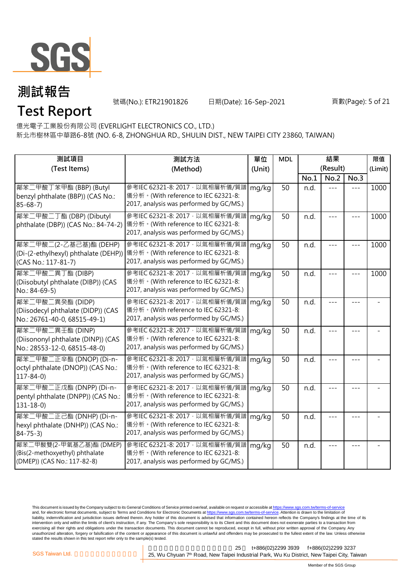

號碼(No.): ETR21901826 日期(Date): 16-Sep-2021 頁數(Page): 5 of 21

**Test Report**

億光電子工業股份有限公司 (EVERLIGHT ELECTRONICS CO., LTD.)

新北市樹林區中華路6-8號 (NO. 6-8, ZHONGHUA RD., SHULIN DIST., NEW TAIPEI CITY 23860, TAIWAN)

| 測試項目                                                                                     | 測試方法                                                                                                                                                   | 單位<br>(Unit) | <b>MDL</b> | 結果   |                  |       | 限值      |
|------------------------------------------------------------------------------------------|--------------------------------------------------------------------------------------------------------------------------------------------------------|--------------|------------|------|------------------|-------|---------|
| (Test Items)                                                                             | (Method)                                                                                                                                               |              |            | No.1 | (Result)<br>No.2 | No.3  | (Limit) |
| 鄰苯二甲酸丁苯甲酯 (BBP) (Butyl<br>benzyl phthalate (BBP)) (CAS No.:<br>$85 - 68 - 7$             | 參考IEC 62321-8: 2017, 以氣相層析儀/質譜<br>儀分析。(With reference to IEC 62321-8:<br>2017, analysis was performed by GC/MS.)                                       | mg/kg        | 50         | n.d. | $---$            | $---$ | 1000    |
| 鄰苯二甲酸二丁酯 (DBP) (Dibutyl<br>phthalate (DBP)) (CAS No.: 84-74-2)                           | 參考IEC 62321-8: 2017, 以氣相層析儀/質譜<br> 儀分析。(With reference to IEC 62321-8:<br>2017, analysis was performed by GC/MS.)                                      | mg/kg        | 50         | n.d. | ---              |       | 1000    |
| 鄰苯二甲酸二(2-乙基己基)酯 (DEHP)<br>(CAS No.: 117-81-7)                                            | 參考IEC 62321-8: 2017 · 以氣相層析儀/質譜<br>(Di-(2-ethylhexyl) phthalate (DEHP)) 儀分析。(With reference to IEC 62321-8:<br>2017, analysis was performed by GC/MS.) | mg/kg        | 50         | n.d. |                  |       | 1000    |
| 鄰苯二甲酸二異丁酯 (DIBP)<br>(Diisobutyl phthalate (DIBP)) (CAS<br>No.: 84-69-5)                  | 參考IEC 62321-8: 2017, 以氣相層析儀/質譜<br>儀分析。(With reference to IEC 62321-8:<br>2017, analysis was performed by GC/MS.)                                       | mg/kg        | 50         | n.d. |                  |       | 1000    |
| 鄰苯二甲酸二異癸酯 (DIDP)<br>(Diisodecyl phthalate (DIDP)) (CAS<br>No.: 26761-40-0, 68515-49-1)   | 參考IEC 62321-8: 2017, 以氣相層析儀/質譜<br>儀分析。(With reference to IEC 62321-8:<br>2017, analysis was performed by GC/MS.)                                       | mg/kg        | 50         | n.d. | ---              |       |         |
| 鄰苯二甲酸二異壬酯 (DINP)<br>(Diisononyl phthalate (DINP)) (CAS<br>No.: 28553-12-0, 68515-48-0)   | 參考IEC 62321-8: 2017, 以氣相層析儀/質譜<br>儀分析。(With reference to IEC 62321-8:<br>2017, analysis was performed by GC/MS.)                                       | mg/kg        | 50         | n.d. |                  |       |         |
| 鄰苯二甲酸二正辛酯 (DNOP) (Di-n-<br>octyl phthalate (DNOP)) (CAS No.:<br>$117 - 84 - 0$           | 參考IEC 62321-8: 2017, 以氣相層析儀/質譜<br>儀分析。(With reference to IEC 62321-8:<br>2017, analysis was performed by GC/MS.)                                       | mg/kg        | 50         | n.d. |                  |       |         |
| 鄰苯二甲酸二正戊酯 (DNPP) (Di-n-<br>pentyl phthalate (DNPP)) (CAS No.:<br>$131 - 18 - 0$          | 參考IEC 62321-8: 2017, 以氣相層析儀/質譜<br>儀分析。(With reference to IEC 62321-8:<br>2017, analysis was performed by GC/MS.)                                       | mg/kg        | 50         | n.d. |                  |       |         |
| 鄰苯二甲酸二正己酯 (DNHP) (Di-n-<br>hexyl phthalate (DNHP)) (CAS No.:<br>$84 - 75 - 3$            | 參考IEC 62321-8: 2017, 以氣相層析儀/質譜<br>儀分析。(With reference to IEC 62321-8:<br>2017, analysis was performed by GC/MS.)                                       | mg/kg        | 50         | n.d. |                  |       |         |
| 鄰苯二甲酸雙(2-甲氧基乙基)酯 (DMEP)<br>(Bis(2-methoxyethyl) phthalate<br>(DMEP)) (CAS No.: 117-82-8) | 參考IEC 62321-8: 2017, 以氣相層析儀/質譜<br>儀分析。(With reference to IEC 62321-8:<br>2017, analysis was performed by GC/MS.)                                       | mg/kg        | 50         | n.d. |                  |       |         |

This document is issued by the Company subject to its General Conditions of Service printed overleaf, available on request or accessible at <u>https://www.sgs.com.tw/terms-of-service</u><br>and, for electronic format documents, su liability, indemnification and jurisdiction issues defined therein. Any holder of this document is advised that information contained hereon reflects the Company's findings at the time of its intervention only and within the limits of client's instruction, if any. The Company's sole responsibility is to its Client and this document does not exonerate parties to a transaction from exercising all their rights and obligations under the transaction documents. This document cannot be reproduced, except in full, without prior written approval of the Company. Any<br>unauthorized alteration, forgery or falsif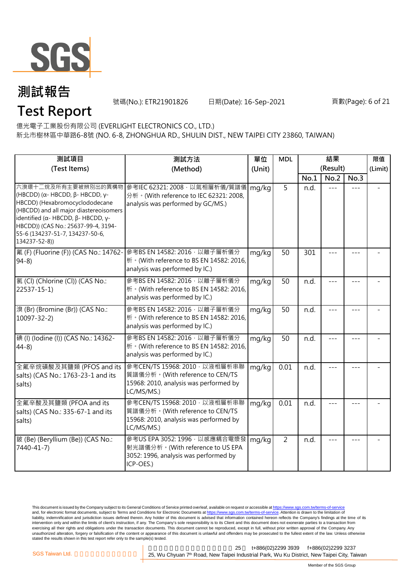

**Test Report**

號碼(No.): ETR21901826 日期(Date): 16-Sep-2021 頁數(Page): 6 of 21

億光電子工業股份有限公司 (EVERLIGHT ELECTRONICS CO., LTD.)

新北市樹林區中華路6-8號 (NO. 6-8, ZHONGHUA RD., SHULIN DIST., NEW TAIPEI CITY 23860, TAIWAN)

| 測試項目                                                                                                                                                                                                                                                                       | 測試方法                                                                                                                     | 單位     | <b>MDL</b>      | 結果       |         |         | 限值      |
|----------------------------------------------------------------------------------------------------------------------------------------------------------------------------------------------------------------------------------------------------------------------------|--------------------------------------------------------------------------------------------------------------------------|--------|-----------------|----------|---------|---------|---------|
| (Test Items)                                                                                                                                                                                                                                                               | (Method)                                                                                                                 | (Unit) |                 | (Result) |         |         | (Limit) |
|                                                                                                                                                                                                                                                                            |                                                                                                                          |        |                 | No.1     | No.2    | No.3    |         |
| 六溴環十二烷及所有主要被辨別出的異構物<br>(HBCDD) (α- HBCDD, $\beta$ - HBCDD, γ-<br>HBCDD) (Hexabromocyclododecane<br>(HBCDD) and all major diastereoisomers<br>identified (α- HBCDD, β- HBCDD, γ-<br>HBCDD)) (CAS No.: 25637-99-4, 3194-<br>55-6 (134237-51-7, 134237-50-6,<br>134237-52-8)) | 參考IEC 62321: 2008, 以氣相層析儀/質譜儀<br>分析。(With reference to IEC 62321: 2008,<br>analysis was performed by GC/MS.)             | mg/kg  | 5               | n.d.     | $- - -$ |         |         |
| 氟 (F) (Fluorine (F)) (CAS No.: 14762-<br>$94-8$                                                                                                                                                                                                                            | 參考BS EN 14582: 2016 · 以離子層析儀分<br>析。(With reference to BS EN 14582: 2016,<br>analysis was performed by IC.)               | mg/kg  | 50              | 301      |         | $- - -$ |         |
| 氯(Cl) (Chlorine (Cl)) (CAS No.:<br>$22537 - 15 - 1$                                                                                                                                                                                                                        | 參考BS EN 14582: 2016, 以離子層析儀分<br>析 · (With reference to BS EN 14582: 2016,<br>analysis was performed by IC.)              | mg/kg  | $\overline{50}$ | n.d.     |         |         |         |
| 溴 (Br) (Bromine (Br)) (CAS No.:<br>$10097 - 32 - 2$                                                                                                                                                                                                                        | 參考BS EN 14582: 2016 · 以離子層析儀分<br>析 · (With reference to BS EN 14582: 2016,<br>analysis was performed by IC.)             | mg/kg  | 50              | n.d.     |         |         |         |
| 碘 (I) (Iodine (I)) (CAS No.: 14362-<br>$44-8$                                                                                                                                                                                                                              | 參考BS EN 14582: 2016 · 以離子層析儀分<br>析 · (With reference to BS EN 14582: 2016,<br>analysis was performed by IC.)             | mg/kg  | 50              | n.d.     |         |         |         |
| 全氟辛烷磺酸及其鹽類 (PFOS and its<br>salts) (CAS No.: 1763-23-1 and its<br>salts)                                                                                                                                                                                                   | 參考CEN/TS 15968: 2010, 以液相層析串聯<br>質譜儀分析。(With reference to CEN/TS<br>15968: 2010, analysis was performed by<br>LC/MS/MS.) | mg/kg  | 0.01            | n.d.     |         | ---     |         |
| 全氟辛酸及其鹽類 (PFOA and its<br>salts) (CAS No.: 335-67-1 and its<br>salts)                                                                                                                                                                                                      | 參考CEN/TS 15968: 2010, 以液相層析串聯<br>質譜儀分析。(With reference to CEN/TS<br>15968: 2010, analysis was performed by<br>LC/MS/MS.) | mg/kg  | 0.01            | n.d.     |         |         |         |
| 鈹 (Be) (Beryllium (Be)) (CAS No.:<br>7440-41-7)                                                                                                                                                                                                                            | 參考US EPA 3052: 1996, 以感應耦合電漿發<br>射光譜儀分析。(With reference to US EPA<br>3052: 1996, analysis was performed by<br>ICP-OES.)  | mg/kg  | $\overline{2}$  | n.d.     |         |         |         |

This document is issued by the Company subject to its General Conditions of Service printed overleaf, available on request or accessible at <u>https://www.sgs.com.tw/terms-of-service</u><br>and, for electronic format documents, su liability, indemnification and jurisdiction issues defined therein. Any holder of this document is advised that information contained hereon reflects the Company's findings at the time of its intervention only and within the limits of client's instruction, if any. The Company's sole responsibility is to its Client and this document does not exonerate parties to a transaction from exercising all their rights and obligations under the transaction documents. This document cannot be reproduced, except in full, without prior written approval of the Company. Any<br>unauthorized alteration, forgery or falsif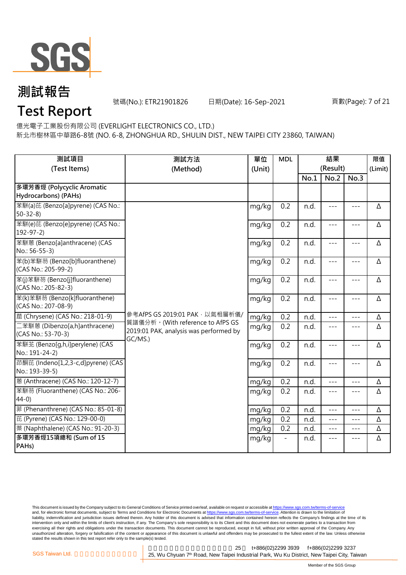

號碼(No.): ETR21901826 日期(Date): 16-Sep-2021 頁數(Page): 7 of 21

### **Test Report**

億光電子工業股份有限公司 (EVERLIGHT ELECTRONICS CO., LTD.)

新北市樹林區中華路6-8號 (NO. 6-8, ZHONGHUA RD., SHULIN DIST., NEW TAIPEI CITY 23860, TAIWAN)

| 測試項目<br>(Test Items)                                  | 測試方法<br>(Method)                                                           | 單位<br>(Unit) | <b>MDL</b> | 結果<br>(Result) |         |               | 限值<br>(Limit) |
|-------------------------------------------------------|----------------------------------------------------------------------------|--------------|------------|----------------|---------|---------------|---------------|
|                                                       |                                                                            |              |            | No.1           | No.2    | No.3          |               |
| 多環芳香烴 (Polycyclic Aromatic                            |                                                                            |              |            |                |         |               |               |
| Hydrocarbons) (PAHs)                                  |                                                                            |              |            |                |         |               |               |
| 苯駢(a)芘 (Benzo[a]pyrene) (CAS No.:<br>$50 - 32 - 8$    |                                                                            | mg/kg        | 0.2        | n.d.           | $- - -$ | $\frac{1}{2}$ | Δ             |
| 苯駢(e)芘 (Benzo[e]pyrene) (CAS No.:<br>$192 - 97 - 2$   |                                                                            | mg/kg        | 0.2        | n.d.           | ---     | $---$         | Δ             |
| 苯駢蒽 (Benzo[a]anthracene) (CAS<br>No.: 56-55-3)        |                                                                            | mg/kg        | 0.2        | n.d.           | $---$   | $---$         | Δ             |
| 苯(b)苯駢芴 (Benzo[b]fluoranthene)<br>(CAS No.: 205-99-2) |                                                                            | mg/kg        | 0.2        | n.d.           | $---$   | $- - -$       | Δ             |
| 苯(j)苯駢芴 (Benzo[j]fluoranthene)<br>(CAS No.: 205-82-3) |                                                                            | mg/kg        | 0.2        | n.d.           | $---$   | $---$         | Δ             |
| 苯(k)苯駢芴 (Benzo[k]fluoranthene)<br>(CAS No.: 207-08-9) |                                                                            | mg/kg        | 0.2        | n.d.           | $---$   | $---$         | Δ             |
| 蔰 (Chrysene) (CAS No.: 218-01-9)                      | 參考AfPS GS 2019:01 PAK · 以氣相層析儀/                                            | mg/kg        | 0.2        | n.d.           | $---$   | $---$         | Δ             |
| 二苯駢蒽 (Dibenzo[a,h]anthracene)<br>(CAS No.: 53-70-3)   | 質譜儀分析。(With reference to AfPS GS<br>2019:01 PAK, analysis was performed by | mg/kg        | 0.2        | n.d.           | $- - -$ | $- - -$       | Δ             |
| 苯駢苙 (Benzo[q,h,i]perylene) (CAS<br>No.: 191-24-2)     | GC/MS.)                                                                    | mg/kg        | 0.2        | n.d.           | $- - -$ | $---$         | Δ             |
| 茚酮芘 (Indeno[1,2,3-c,d]pyrene) (CAS<br>No.: 193-39-5)  |                                                                            | mg/kg        | 0.2        | n.d.           | $---$   | $- - -$       | Δ             |
| 蒽 (Anthracene) (CAS No.: 120-12-7)                    |                                                                            | mg/kg        | 0.2        | n.d.           | $- - -$ | $---$         | Δ             |
| 苯駢芴 (Fluoranthene) (CAS No.: 206-<br>$44-0$           |                                                                            | mg/kg        | 0.2        | n.d.           | $---$   | $---$         | Δ             |
| 菲 (Phenanthrene) (CAS No.: 85-01-8)                   |                                                                            | mg/kg        | 0.2        | n.d.           | $- - -$ | $---$         | Δ             |
| 芘 (Pyrene) (CAS No.: 129-00-0)                        |                                                                            | mg/kg        | 0.2        | n.d.           | $- - -$ | $- - -$       | Δ             |
| 萘 (Naphthalene) (CAS No.: 91-20-3)                    |                                                                            | mg/kg        | 0.2        | n.d.           | $---$   | $---$         | Δ             |
| 多環芳香烴15項總和 (Sum of 15<br>PAH <sub>s</sub> )           |                                                                            | mg/kg        |            | n.d.           | ---     | $- - -$       | Δ             |

This document is issued by the Company subject to its General Conditions of Service printed overleaf, available on request or accessible at <u>https://www.sgs.com.tw/terms-of-service</u><br>and, for electronic format documents, su liability, indemnification and jurisdiction issues defined therein. Any holder of this document is advised that information contained hereon reflects the Company's findings at the time of its intervention only and within the limits of client's instruction, if any. The Company's sole responsibility is to its Client and this document does not exonerate parties to a transaction from exercising all their rights and obligations under the transaction documents. This document cannot be reproduced, except in full, without prior written approval of the Company. Any<br>unauthorized alteration, forgery or falsif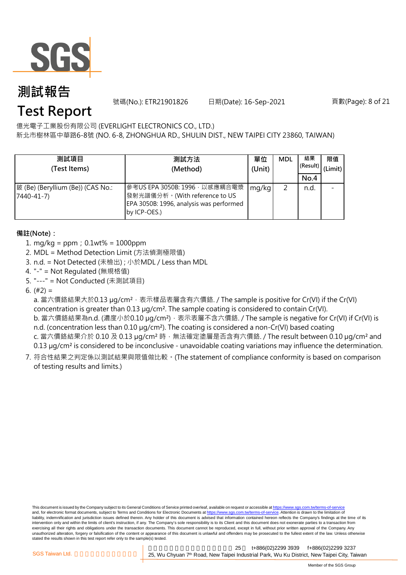

號碼(No.): ETR21901826 日期(Date): 16-Sep-2021 頁數(Page): 8 of 21

### **Test Report**

億光電子工業股份有限公司 (EVERLIGHT ELECTRONICS CO., LTD.)

新北市樹林區中華路6-8號 (NO. 6-8, ZHONGHUA RD., SHULIN DIST., NEW TAIPEI CITY 23860, TAIWAN)

| 測試項目<br>(Test Items)                            | 測試方法<br>(Method)                                                                                                          | 單位<br>(Unit) | <b>MDL</b> | 結果<br>(Result)<br>No.4 | 限值<br>(Limit) |
|-------------------------------------------------|---------------------------------------------------------------------------------------------------------------------------|--------------|------------|------------------------|---------------|
| 鈹 (Be) (Beryllium (Be)) (CAS No.:<br>7440-41-7) | 參考US EPA 3050B: 1996, 以感應耦合電漿<br>發射光譜儀分析。(With reference to US<br>EPA 3050B: 1996, analysis was performed<br>by ICP-OES.) | mg/kg        |            | n.d.                   |               |

#### **備註(Note):**

- 1. mg/kg = ppm;0.1wt% = 1000ppm
- 2. MDL = Method Detection Limit (方法偵測極限值)
- 3. n.d. = Not Detected (未檢出) ; 小於MDL / Less than MDL
- 4. "-" = Not Regulated (無規格值)
- 5. "---" = Not Conducted (未測試項目)

6.  $(#2) =$ 

a. 當六價鉻結果大於0.13 µg/cm<sup>2,</sup> 表示樣品表層含有六價鉻. / The sample is positive for Cr(VI) if the Cr(VI) concentration is greater than 0.13 µg/cm². The sample coating is considered to contain Cr(VI).

b. 當六價鉻結果為n.d. (濃度小於0.10 μg/cm²),表示表層不含六價鉻. / The sample is negative for Cr(VI) if Cr(VI) is n.d. (concentration less than 0.10 µg/cm<sup>2</sup>). The coating is considered a non-Cr(VI) based coating c. 當六價鉻結果介於 0.10 及 0.13 µg/cm<sup>2</sup> 時, 無法確定塗層是否含有六價鉻. / The result between 0.10 µg/cm<sup>2</sup> and

0.13 µg/cm<sup>2</sup> is considered to be inconclusive - unavoidable coating variations may influence the determination.

7. 符合性結果之判定係以測試結果與限值做比較。(The statement of compliance conformity is based on comparison of testing results and limits.)

This document is issued by the Company subject to its General Conditions of Service printed overleaf, available on request or accessible at https://www.sgs.com.tw/terms-of-service and, for electronic format documents, subject to Terms and Conditions for Electronic Documents at https://www.sgs.com.tw/terms-of-service. Attention is drawn to the limitation of liability, indemnification and jurisdiction issues defined therein. Any holder of this document is advised that information contained hereon reflects the Company's findings at the time of its intervention only and within the limits of client's instruction, if any. The Company's sole responsibility is to its Client and this document does not exonerate parties to a transaction from exercising all their rights and obligations under the transaction documents. This document cannot be reproduced, except in full, without prior written approval of the Company. Any<br>unauthorized alteration, forgery or falsif stated the results shown in this test report refer only to the sample(s) tested.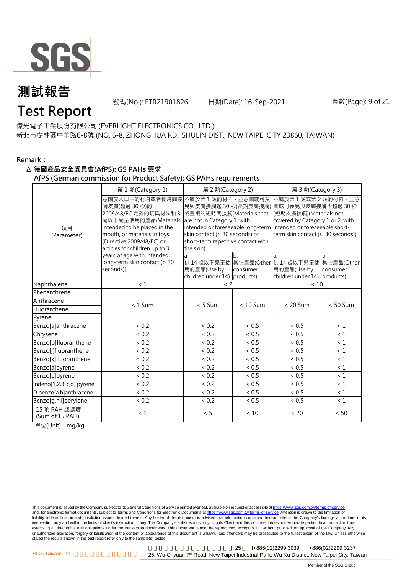

號碼(No.): ETR21901826 日期(Date): 16-Sep-2021 頁數(Page): 9 of 21

### **Test Report**

億光電子工業股份有限公司 (EVERLIGHT ELECTRONICS CO., LTD.) 新北市樹林區中華路6-8號 (NO. 6-8, ZHONGHUA RD., SHULIN DIST., NEW TAIPEI CITY 23860, TAIWAN)

#### **Remark:**

#### Δ **德國產品安全委員會(AfPS): GS PAHs 要求**

**AfPS (German commission for Product Safety): GS PAHs requirements**

|                                 | 第1類(Category 1)                                                                                                                                                                                               | 第 2 類(Category 2)                                                                                                                                                |                            | 第 3 類(Category 3)                                                                                                                                                                                                                  |                              |  |  |
|---------------------------------|---------------------------------------------------------------------------------------------------------------------------------------------------------------------------------------------------------------|------------------------------------------------------------------------------------------------------------------------------------------------------------------|----------------------------|------------------------------------------------------------------------------------------------------------------------------------------------------------------------------------------------------------------------------------|------------------------------|--|--|
| 項目<br>(Parameter)               | 意圖放入口中的材料或者長時間接<br>觸皮膚(超過 30秒)的<br>2009/48/EC 定義的玩具材料和 3<br>歲以下兒童使用的產品(Materials<br>intended to be placed in the<br>mouth, or materials in toys<br>(Directive 2009/48/EC) or<br>articles for children up to 3 | 不屬於第1類的材料,並意圖或可預<br>或重複的短時間接觸(Materials that<br>are not in Category 1, with<br>skin contact (> 30 seconds) or<br>short-term repetitive contact with<br>the skin) |                            | 不屬於第1類或第2類的材料,並意<br>見與皮膚接觸逾 30 秒(長期皮膚接觸) 圖或可預見與皮膚接觸不超過 30 秒<br>(短期皮膚接觸)(Materials not<br>covered by Category 1 or 2, with<br>intended or foreseeable long-term intended or foreseeable short-<br>term skin contact (≤ 30 seconds)) |                              |  |  |
|                                 | years of age with intended<br>long-term skin contact (> 30<br>seconds))                                                                                                                                       | a.<br>用的產品(Use by<br>children under $14$ ) products)                                                                                                             | b <sub>1</sub><br>consumer | la.<br>供 14 歳以下兒童使 其它產品(Other 供 14 歳以下兒童使<br>用的產品(Use by<br>children under $14$ ) products)                                                                                                                                        | b.<br>其它產品(Other<br>consumer |  |  |
| Naphthalene                     | < 1                                                                                                                                                                                                           | $\langle$ 2                                                                                                                                                      |                            | < 10                                                                                                                                                                                                                               |                              |  |  |
| Phenanthrene                    |                                                                                                                                                                                                               |                                                                                                                                                                  |                            |                                                                                                                                                                                                                                    |                              |  |  |
| Anthracene                      | $< 1$ Sum                                                                                                                                                                                                     | $< 5$ Sum                                                                                                                                                        | $< 10$ Sum                 | $< 20$ Sum                                                                                                                                                                                                                         | $< 50$ Sum                   |  |  |
| Fluoranthene                    |                                                                                                                                                                                                               |                                                                                                                                                                  |                            |                                                                                                                                                                                                                                    |                              |  |  |
| Pyrene                          |                                                                                                                                                                                                               |                                                                                                                                                                  |                            |                                                                                                                                                                                                                                    |                              |  |  |
| Benzo[a]anthracene              | < 0.2                                                                                                                                                                                                         | < 0.2                                                                                                                                                            | < 0.5                      | < 0.5                                                                                                                                                                                                                              | < 1                          |  |  |
| Chrysene                        | < 0.2                                                                                                                                                                                                         | < 0.2                                                                                                                                                            | $< 0.5$                    | ${}< 0.5$                                                                                                                                                                                                                          | < 1                          |  |  |
| Benzo[b]fluoranthene            | < 0.2                                                                                                                                                                                                         | < 0.2                                                                                                                                                            | < 0.5                      | < 0.5                                                                                                                                                                                                                              | $\leq 1$                     |  |  |
| Benzo[j]fluoranthene            | < 0.2                                                                                                                                                                                                         | < 0.2                                                                                                                                                            | ~< 0.5                     | < 0.5                                                                                                                                                                                                                              | $\leq 1$                     |  |  |
| Benzo[k]fluoranthene            | < 0.2                                                                                                                                                                                                         | < 0.2                                                                                                                                                            | < 0.5                      | ${}< 0.5$                                                                                                                                                                                                                          | $\leq 1$                     |  |  |
| Benzo[a]pyrene                  | < 0.2                                                                                                                                                                                                         | < 0.2                                                                                                                                                            | < 0.5                      | < 0.5                                                                                                                                                                                                                              | $\leq 1$                     |  |  |
| Benzo[e]pyrene                  | < 0.2                                                                                                                                                                                                         | < 0.2                                                                                                                                                            | < 0.5                      | < 0.5                                                                                                                                                                                                                              | $\leq 1$                     |  |  |
| Indeno[1,2,3-c,d] pyrene        | < 0.2                                                                                                                                                                                                         | < 0.2                                                                                                                                                            | < 0.5                      | < 0.5                                                                                                                                                                                                                              | $\leq 1$                     |  |  |
| Dibenzo[a,h]anthracene          | < 0.2                                                                                                                                                                                                         | < 0.2                                                                                                                                                            | ~< 0.5                     | < 0.5                                                                                                                                                                                                                              | $\leq 1$                     |  |  |
| Benzo[g,h,i]perylene            | < 0.2                                                                                                                                                                                                         | < 0.2                                                                                                                                                            | < 0.5                      | < 0.5                                                                                                                                                                                                                              | $\leq 1$                     |  |  |
| 15 項 PAH 總濃度<br>(Sum of 15 PAH) | $\leq 1$                                                                                                                                                                                                      | < 5                                                                                                                                                              | < 10                       | < 20                                                                                                                                                                                                                               | < 50                         |  |  |

單位(Unit):mg/kg

This document is issued by the Company subject to its General Conditions of Service printed overleaf, available on request or accessible at https://www.sgs.com.tw/terms-of-service and, for electronic format documents, subject to Terms and Conditions for Electronic Documents at https://www.sgs.com.tw/terms-of-service. Attention is drawn to the limitation of liability, indemnification and jurisdiction issues defined therein. Any holder of this document is advised that information contained hereon reflects the Company's findings at the time of its intervention only and within the limits of client's instruction, if any. The Company's sole responsibility is to its Client and this document does not exonerate parties to a transaction from exercising all their rights and obligations under the transaction documents. This document cannot be reproduced, except in full, without prior written approval of the Company. Any<br>unauthorized alteration, forgery or falsif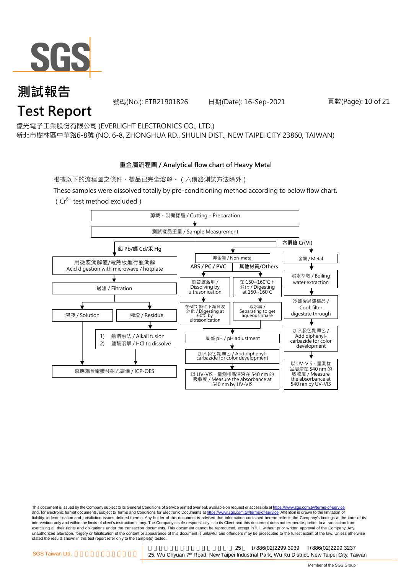

號碼(No.): ETR21901826 日期(Date): 16-Sep-2021 頁數(Page): 10 of 21

億光電子工業股份有限公司 (EVERLIGHT ELECTRONICS CO., LTD.)

新北市樹林區中華路6-8號 (NO. 6-8, ZHONGHUA RD., SHULIN DIST., NEW TAIPEI CITY 23860, TAIWAN)

#### **重金屬流程圖 / Analytical flow chart of Heavy Metal**

根據以下的流程圖之條件,樣品已完全溶解。(六價鉻測試方法除外)

These samples were dissolved totally by pre-conditioning method according to below flow chart.  $(Cr^{6+}$  test method excluded)



This document is issued by the Company subject to its General Conditions of Service printed overleaf, available on request or accessible at https://www.sgs.com.tw/terms-of-service and, for electronic format documents, subject to Terms and Conditions for Electronic Documents at https://www.sgs.com.tw/terms-of-service. Attention is drawn to the limitation of liability, indemnification and jurisdiction issues defined therein. Any holder of this document is advised that information contained hereon reflects the Company's findings at the time of its intervention only and within the limits of client's instruction, if any. The Company's sole responsibility is to its Client and this document does not exonerate parties to a transaction from exercising all their rights and obligations under the transaction documents. This document cannot be reproduced, except in full, without prior written approval of the Company. Any<br>unauthorized alteration, forgery or falsif stated the results shown in this test report refer only to the sample(s) tested.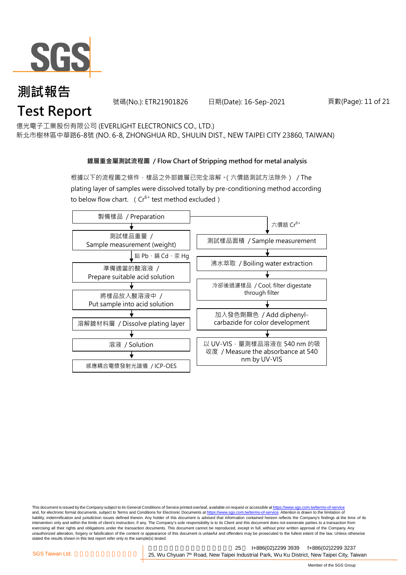

號碼(No.): ETR21901826 日期(Date): 16-Sep-2021 頁數(Page): 11 of 21

億光電子工業股份有限公司 (EVERLIGHT ELECTRONICS CO., LTD.)

新北市樹林區中華路6-8號 (NO. 6-8, ZHONGHUA RD., SHULIN DIST., NEW TAIPEI CITY 23860, TAIWAN)

#### **鍍層重金屬測試流程圖 / Flow Chart of Stripping method for metal analysis**

根據以下的流程圖之條件,樣品之外部鍍層已完全溶解。(六價鉻測試方法除外) / The plating layer of samples were dissolved totally by pre-conditioning method according to below flow chart. ( $Cr^{6+}$  test method excluded)



This document is issued by the Company subject to its General Conditions of Service printed overleaf, available on request or accessible at https://www.sgs.com.tw/terms-of-service and, for electronic format documents, subject to Terms and Conditions for Electronic Documents at https://www.sgs.com.tw/terms-of-service. Attention is drawn to the limitation of liability, indemnification and jurisdiction issues defined therein. Any holder of this document is advised that information contained hereon reflects the Company's findings at the time of its intervention only and within the limits of client's instruction, if any. The Company's sole responsibility is to its Client and this document does not exonerate parties to a transaction from exercising all their rights and obligations under the transaction documents. This document cannot be reproduced, except in full, without prior written approval of the Company. Any<br>unauthorized alteration, forgery or falsif stated the results shown in this test report refer only to the sample(s) tested.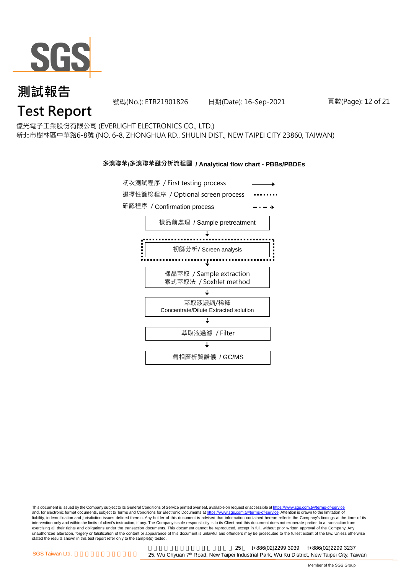

號碼(No.): ETR21901826 日期(Date): 16-Sep-2021 頁數(Page): 12 of 21

## **Test Report**

億光電子工業股份有限公司 (EVERLIGHT ELECTRONICS CO., LTD.) 新北市樹林區中華路6-8號 (NO. 6-8, ZHONGHUA RD., SHULIN DIST., NEW TAIPEI CITY 23860, TAIWAN)

#### **多溴聯苯/多溴聯苯醚分析流程圖 / Analytical flow chart - PBBs/PBDEs**



This document is issued by the Company subject to its General Conditions of Service printed overleaf, available on request or accessible at https://www.sgs.com.tw/terms-of-service and, for electronic format documents, subject to Terms and Conditions for Electronic Documents at https://www.sgs.com.tw/terms-of-service. Attention is drawn to the limitation of liability, indemnification and jurisdiction issues defined therein. Any holder of this document is advised that information contained hereon reflects the Company's findings at the time of its intervention only and within the limits of client's instruction, if any. The Company's sole responsibility is to its Client and this document does not exonerate parties to a transaction from exercising all their rights and obligations under the transaction documents. This document cannot be reproduced, except in full, without prior written approval of the Company. Any<br>unauthorized alteration, forgery or falsif stated the results shown in this test report refer only to the sample(s) tested.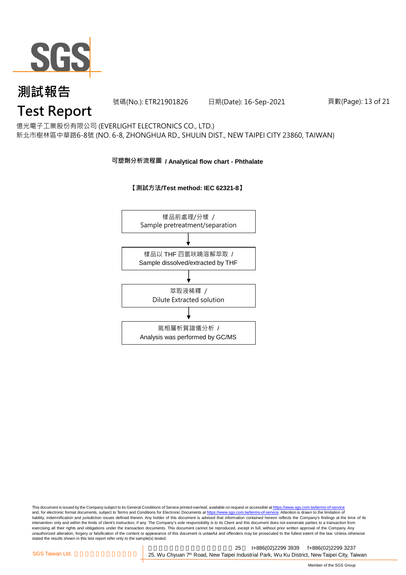

號碼(No.): ETR21901826 日期(Date): 16-Sep-2021 頁數(Page): 13 of 21

### **Test Report**

億光電子工業股份有限公司 (EVERLIGHT ELECTRONICS CO., LTD.) 新北市樹林區中華路6-8號 (NO. 6-8, ZHONGHUA RD., SHULIN DIST., NEW TAIPEI CITY 23860, TAIWAN)

#### **可塑劑分析流程圖 / Analytical flow chart - Phthalate**

#### **【測試方法/Test method: IEC 62321-8】**



This document is issued by the Company subject to its General Conditions of Service printed overleaf, available on request or accessible at <u>https://www.sgs.com.tw/terms-of-service</u><br>and, for electronic format documents, su liability, indemnification and jurisdiction issues defined therein. Any holder of this document is advised that information contained hereon reflects the Company's findings at the time of its intervention only and within the limits of client's instruction, if any. The Company's sole responsibility is to its Client and this document does not exonerate parties to a transaction from exercising all their rights and obligations under the transaction documents. This document cannot be reproduced, except in full, without prior written approval of the Company. Any<br>unauthorized alteration, forgery or falsif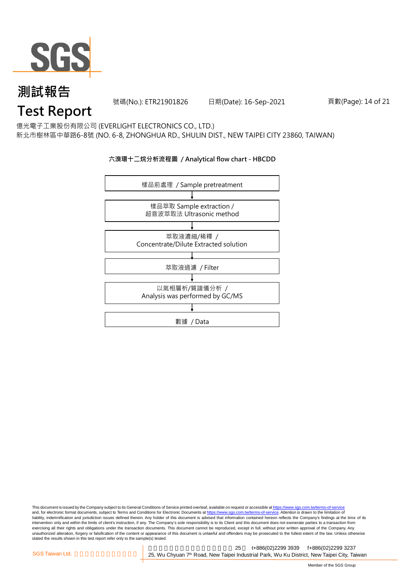

號碼(No.): ETR21901826 日期(Date): 16-Sep-2021 頁數(Page): 14 of 21

### **Test Report**

億光電子工業股份有限公司 (EVERLIGHT ELECTRONICS CO., LTD.) 新北市樹林區中華路6-8號 (NO. 6-8, ZHONGHUA RD., SHULIN DIST., NEW TAIPEI CITY 23860, TAIWAN)

#### **六溴環十二烷分析流程圖 / Analytical flow chart - HBCDD**



This document is issued by the Company subject to its General Conditions of Service printed overleaf, available on request or accessible at <u>https://www.sgs.com.tw/terms-of-service</u><br>and, for electronic format documents, su liability, indemnification and jurisdiction issues defined therein. Any holder of this document is advised that information contained hereon reflects the Company's findings at the time of its intervention only and within the limits of client's instruction, if any. The Company's sole responsibility is to its Client and this document does not exonerate parties to a transaction from exercising all their rights and obligations under the transaction documents. This document cannot be reproduced, except in full, without prior written approval of the Company. Any<br>unauthorized alteration, forgery or falsif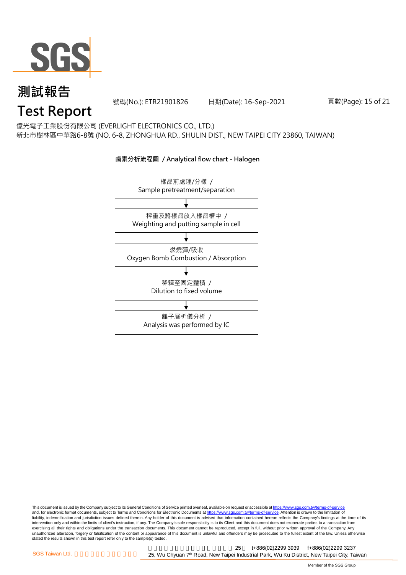

號碼(No.): ETR21901826 日期(Date): 16-Sep-2021 頁數(Page): 15 of 21

## **Test Report**

億光電子工業股份有限公司 (EVERLIGHT ELECTRONICS CO., LTD.) 新北市樹林區中華路6-8號 (NO. 6-8, ZHONGHUA RD., SHULIN DIST., NEW TAIPEI CITY 23860, TAIWAN)

**鹵素分析流程圖 / Analytical flow chart - Halogen**

### 樣品前處理/分樣 / Sample pretreatment/separation 秤重及將樣品放入樣品槽中 / Weighting and putting sample in cell 燃燒彈/吸收 Oxygen Bomb Combustion / Absorption 離子層析儀分析 / Analysis was performed by IC 稀釋至固定體積 / Dilution to fixed volume

This document is issued by the Company subject to its General Conditions of Service printed overleaf, available on request or accessible at <u>https://www.sgs.com.tw/terms-of-service</u><br>and, for electronic format documents, su liability, indemnification and jurisdiction issues defined therein. Any holder of this document is advised that information contained hereon reflects the Company's findings at the time of its intervention only and within the limits of client's instruction, if any. The Company's sole responsibility is to its Client and this document does not exonerate parties to a transaction from exercising all their rights and obligations under the transaction documents. This document cannot be reproduced, except in full, without prior written approval of the Company. Any<br>unauthorized alteration, forgery or falsif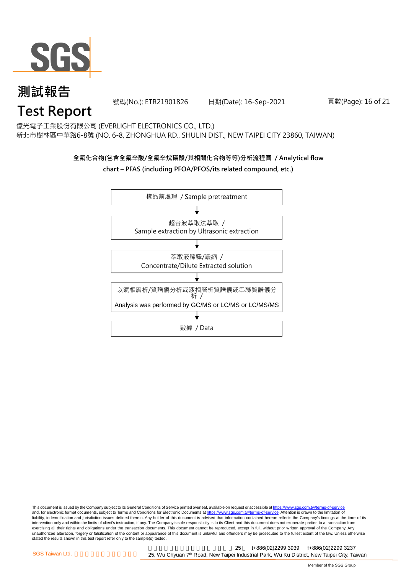

號碼(No.): ETR21901826 日期(Date): 16-Sep-2021 頁數(Page): 16 of 21

## **Test Report**

億光電子工業股份有限公司 (EVERLIGHT ELECTRONICS CO., LTD.) 新北市樹林區中華路6-8號 (NO. 6-8, ZHONGHUA RD., SHULIN DIST., NEW TAIPEI CITY 23860, TAIWAN)

#### **全氟化合物(包含全氟辛酸/全氟辛烷磺酸/其相關化合物等等)分析流程圖 / Analytical flow chart – PFAS (including PFOA/PFOS/its related compound, etc.)**



This document is issued by the Company subject to its General Conditions of Service printed overleaf, available on request or accessible at https://www.sgs.com.tw/terms-of-service and, for electronic format documents, subject to Terms and Conditions for Electronic Documents at https://www.sgs.com.tw/terms-of-service. Attention is drawn to the limitation of liability, indemnification and jurisdiction issues defined therein. Any holder of this document is advised that information contained hereon reflects the Company's findings at the time of its intervention only and within the limits of client's instruction, if any. The Company's sole responsibility is to its Client and this document does not exonerate parties to a transaction from exercising all their rights and obligations under the transaction documents. This document cannot be reproduced, except in full, without prior written approval of the Company. Any<br>unauthorized alteration, forgery or falsif stated the results shown in this test report refer only to the sample(s) tested.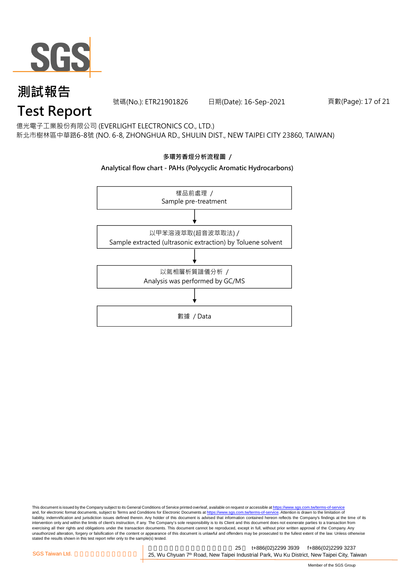

號碼(No.): ETR21901826 日期(Date): 16-Sep-2021 頁數(Page): 17 of 21

## **Test Report**

億光電子工業股份有限公司 (EVERLIGHT ELECTRONICS CO., LTD.) 新北市樹林區中華路6-8號 (NO. 6-8, ZHONGHUA RD., SHULIN DIST., NEW TAIPEI CITY 23860, TAIWAN)



This document is issued by the Company subject to its General Conditions of Service printed overleaf, available on request or accessible at <u>https://www.sgs.com.tw/terms-of-service</u><br>and, for electronic format documents, su liability, indemnification and jurisdiction issues defined therein. Any holder of this document is advised that information contained hereon reflects the Company's findings at the time of its intervention only and within the limits of client's instruction, if any. The Company's sole responsibility is to its Client and this document does not exonerate parties to a transaction from exercising all their rights and obligations under the transaction documents. This document cannot be reproduced, except in full, without prior written approval of the Company. Any<br>unauthorized alteration, forgery or falsif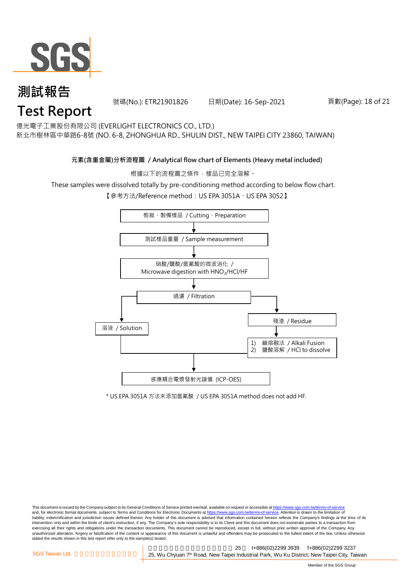

號碼(No.): ETR21901826 日期(Date): 16-Sep-2021 頁數(Page): 18 of 21

億光電子工業股份有限公司 (EVERLIGHT ELECTRONICS CO., LTD.)

新北市樹林區中華路6-8號 (NO. 6-8, ZHONGHUA RD., SHULIN DIST., NEW TAIPEI CITY 23860, TAIWAN)

#### **元素(含重金屬)分析流程圖 / Analytical flow chart of Elements (Heavy metal included)**

根據以下的流程圖之條件,樣品已完全溶解。

These samples were dissolved totally by pre-conditioning method according to below flow chart.

【參考方法/Reference method: US EPA 3051A、US EPA 3052】



\* US EPA 3051A 方法未添加氫氟酸 / US EPA 3051A method does not add HF.

This document is issued by the Company subject to its General Conditions of Service printed overleaf, available on request or accessible at https://www.sgs.com.tw/terms-of-service and, for electronic format documents, subject to Terms and Conditions for Electronic Documents at https://www.sgs.com.tw/terms-of-service. Attention is drawn to the limitation of liability, indemnification and jurisdiction issues defined therein. Any holder of this document is advised that information contained hereon reflects the Company's findings at the time of its intervention only and within the limits of client's instruction, if any. The Company's sole responsibility is to its Client and this document does not exonerate parties to a transaction from exercising all their rights and obligations under the transaction documents. This document cannot be reproduced, except in full, without prior written approval of the Company. Any<br>unauthorized alteration, forgery or falsif stated the results shown in this test report refer only to the sample(s) tested.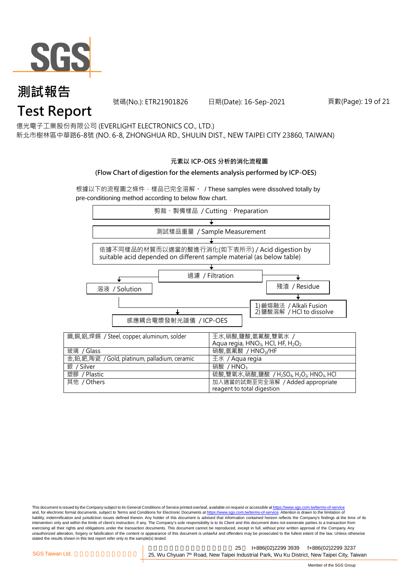

號碼(No.): ETR21901826 日期(Date): 16-Sep-2021 頁數(Page): 19 of 21

億光電子工業股份有限公司 (EVERLIGHT ELECTRONICS CO., LTD.)

新北市樹林區中華路6-8號 (NO. 6-8, ZHONGHUA RD., SHULIN DIST., NEW TAIPEI CITY 23860, TAIWAN)

#### **元素以 ICP-OES 分析的消化流程圖**

#### **(Flow Chart of digestion for the elements analysis performed by ICP-OES)**

根據以下的流程圖之條件,樣品已完全溶解。 / These samples were dissolved totally by pre-conditioning method according to below flow chart.



This document is issued by the Company subject to its General Conditions of Service printed overleaf, available on request or accessible at https://www.sgs.com.tw/terms-of-service and, for electronic format documents, subject to Terms and Conditions for Electronic Documents at https://www.sgs.com.tw/terms-of-service. Attention is drawn to the limitation of liability, indemnification and jurisdiction issues defined therein. Any holder of this document is advised that information contained hereon reflects the Company's findings at the time of its intervention only and within the limits of client's instruction, if any. The Company's sole responsibility is to its Client and this document does not exonerate parties to a transaction from exercising all their rights and obligations under the transaction documents. This document cannot be reproduced, except in full, without prior written approval of the Company. Any<br>unauthorized alteration, forgery or falsif stated the results shown in this test report refer only to the sample(s) tested.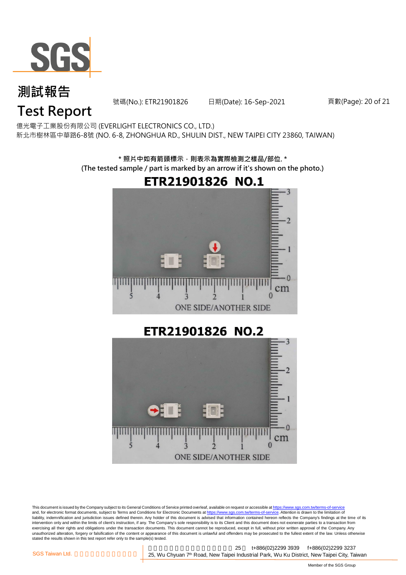

號碼(No.): ETR21901826 日期(Date): 16-Sep-2021 頁數(Page): 20 of 21

## **Test Report**

億光電子工業股份有限公司 (EVERLIGHT ELECTRONICS CO., LTD.) 新北市樹林區中華路6-8號 (NO. 6-8, ZHONGHUA RD., SHULIN DIST., NEW TAIPEI CITY 23860, TAIWAN)

> **\* 照片中如有箭頭標示,則表示為實際檢測之樣品/部位. \* (The tested sample / part is marked by an arrow if it's shown on the photo.)**



ETR21901826 NO.2



This document is issued by the Company subject to its General Conditions of Service printed overleaf, available on request or accessible at <u>https://www.sgs.com.tw/terms-of-service</u><br>and, for electronic format documents, su liability, indemnification and jurisdiction issues defined therein. Any holder of this document is advised that information contained hereon reflects the Company's findings at the time of its intervention only and within the limits of client's instruction, if any. The Company's sole responsibility is to its Client and this document does not exonerate parties to a transaction from exercising all their rights and obligations under the transaction documents. This document cannot be reproduced, except in full, without prior written approval of the Company. Any<br>unauthorized alteration, forgery or falsif stated the results shown in this test report refer only to the sample(s) tested.